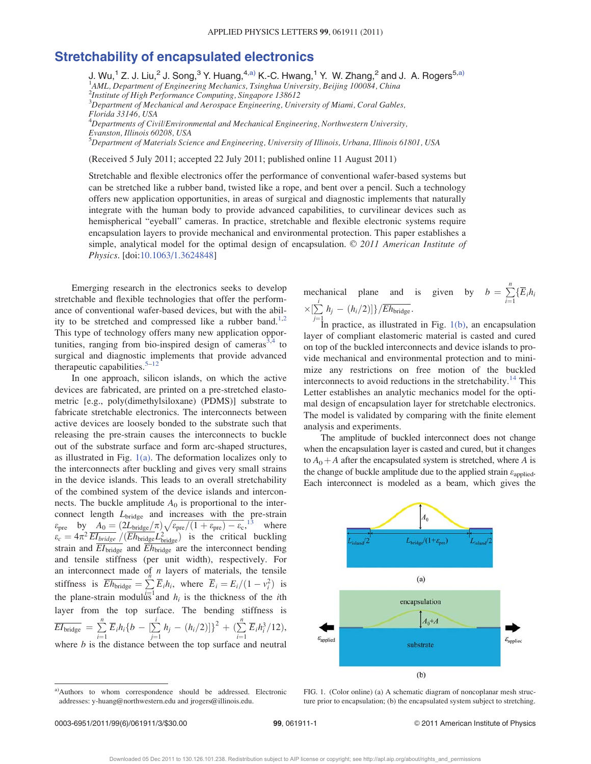## Stretchability of encapsulated electronics

J. Wu,<sup>1</sup> Z. J. Liu,<sup>2</sup> J. Song,<sup>3</sup> Y. Huang,<sup>4,a)</sup> K.-C. Hwang,<sup>1</sup> Y. W. Zhang,<sup>2</sup> and J. A. Rogers<sup>5,a)</sup><br><sup>1</sup>AML, Department of Engineering Mechanics, Tsinghua University, Beijing 100084, China

2 Institute of High Performance Computing, Singapore 138612

 ${}^{3}$ Department of Mechanical and Aerospace Engineering, University of Miami, Coral Gables, Florida 33146, USA

 ${}^4$ Departments of Civil/Environmental and Mechanical Engineering, Northwestern University, Evanston, Illinois 60208, USA

5 Department of Materials Science and Engineering, University of Illinois, Urbana, Illinois 61801, USA

(Received 5 July 2011; accepted 22 July 2011; published online 11 August 2011)

Stretchable and flexible electronics offer the performance of conventional wafer-based systems but can be stretched like a rubber band, twisted like a rope, and bent over a pencil. Such a technology offers new application opportunities, in areas of surgical and diagnostic implements that naturally integrate with the human body to provide advanced capabilities, to curvilinear devices such as hemispherical "eyeball" cameras. In practice, stretchable and flexible electronic systems require encapsulation layers to provide mechanical and environmental protection. This paper establishes a simple, analytical model for the optimal design of encapsulation.  $© 2011$  American Institute of Physics. [doi:10.1063/1.3624848]

Emerging research in the electronics seeks to develop stretchable and flexible technologies that offer the performance of conventional wafer-based devices, but with the ability to be stretched and compressed like a rubber band.<sup>1,2</sup> This type of technology offers many new application opportunities, ranging from bio-inspired design of cameras $3,4$  to surgical and diagnostic implements that provide advanced therapeutic capabilities. $5-12$ 

In one approach, silicon islands, on which the active devices are fabricated, are printed on a pre-stretched elastometric [e.g., poly(dimethylsiloxane) (PDMS)] substrate to fabricate stretchable electronics. The interconnects between active devices are loosely bonded to the substrate such that releasing the pre-strain causes the interconnects to buckle out of the substrate surface and form arc-shaped structures, as illustrated in Fig.  $1(a)$ . The deformation localizes only to the interconnects after buckling and gives very small strains in the device islands. This leads to an overall stretchability of the combined system of the device islands and interconnects. The buckle amplitude  $A_0$  is proportional to the interconnect length  $L<sub>bridge</sub>$  and increases with the pre-strain  $\epsilon_{\text{pre}}$  by  $\overline{A_0} = (2L_{\text{bridge}}/\pi)\sqrt{\epsilon_{\text{pre}}/(1+\epsilon_{\text{pre}})-\epsilon_{\text{c}}},^{13}$  where  $\epsilon = A\pi^2 \overline{FL} \cdots$  (*(Fh. . . 1*<sup>2</sup>) is the critical buckling  $\varepsilon_c = 4\pi^2 \frac{EI_{bridge}}{EL} \left( \frac{Eh_{bridge}L_{bridge}^2}{Eh_{total}} \right)$  is the critical buckling strain and  $\overline{EI_{bridge}}$  and  $\overline{Eh_{bridge}}$  are the interconnect bending and tensile stiffness (per unit width), respectively. For an interconnect made of  $n$  layers of materials, the tensile stiffness is  $\overline{E}h_{bridge} = \sum_{i=1}^{n} \overline{E}_{i}h_{i}$ , where  $\overline{E}_{i} = E_{i}/(1 - v_{i}^{2})$  is<br>the above their metal  $v_{i}^{\text{left}} = \sum_{i=1}^{n} \overline{E}_{i}h_{i}$ the plane-strain modulus and  $h_i$  is the thickness of the *i*th layer from the top surface. The bending stiffness is  $\overline{EI_{bridge}} = \sum_{i=1}^{n} \overline{E}_{i} h_{i} \left\{ b - \sum_{j=1}^{i} \overline{E}_{j} h_{j} \right\}$ <br>where h is the distance bety  $\sum_{j=1}^{i} h_j - (h_i/2)]^2 + (\sum_{i=1}^{n} h_i)$  $\overline{E}_i h_i^3/12$ ), where  $b$  is the distance between the top surface and neutral



mechanical plane and is given by  $b = \sum_{i=1}^{n} {\{\overline{E}_{i}h_{i}\}\over \sum_{i=1}^{n} h_{i} - (h_{i}/2) \cdot 1}$  $\times[\sum_{j=1}^{i}$  $\sum_{j=1} h_j - (h_i/2)] \} / E h_{\text{bridge}}.$ <br>In practice, as illustrated

In practice, as illustrated in Fig.  $1(b)$ , an encapsulation layer of compliant elastomeric material is casted and cured on top of the buckled interconnects and device islands to provide mechanical and environmental protection and to minimize any restrictions on free motion of the buckled interconnects to avoid reductions in the stretchability.<sup>14</sup> This Letter establishes an analytic mechanics model for the optimal design of encapsulation layer for stretchable electronics. The model is validated by comparing with the finite element analysis and experiments.

The amplitude of buckled interconnect does not change when the encapsulation layer is casted and cured, but it changes to  $A_0 + A$  after the encapsulated system is stretched, where A is the change of buckle amplitude due to the applied strain  $\varepsilon_{\text{applied}}$ . Each interconnect is modeled as a beam, which gives the



FIG. 1. (Color online) (a) A schematic diagram of noncoplanar mesh structure prior to encapsulation; (b) the encapsulated system subject to stretching.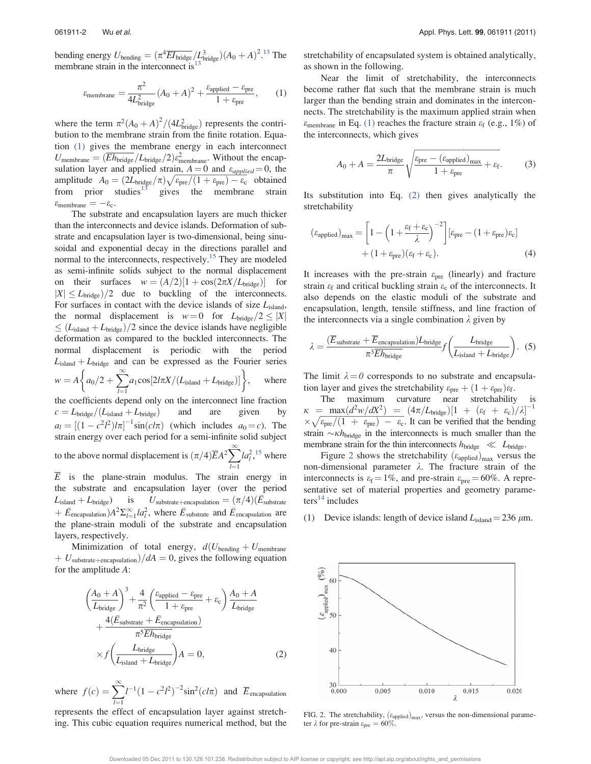bending energy  $U_{\text{bending}} = (\pi^4 \overline{EI}_{\text{bridge}}/L_{\text{bridge}}^3)(A_0 + A)^2$ <sup>13</sup> The<br>membrane strain in the interconnect is<sup>13</sup> membrane strain in the interconnect is

$$
\varepsilon_{\text{membrane}} = \frac{\pi^2}{4L_{\text{bridge}}^2} (A_0 + A)^2 + \frac{\varepsilon_{\text{applied}} - \varepsilon_{\text{pre}}}{1 + \varepsilon_{\text{pre}}},\qquad(1)
$$

where the term  $\pi^2 (A_0 + A)^2 / (4L_{bridge}^2)$  represents the contri-<br>bution to the membrane strain from the finite rotation. Equabution to the membrane strain from the finite rotation. Equation (1) gives the membrane energy in each interconnect  $U_{\text{membrane}} = (\overline{E}h_{\text{bridge}}/L_{\text{bridge}}/2)\varepsilon_{\text{membrane}}^2$ . Without the encap-<br>sulation layer and annlied strain  $A = 0$  and  $\varepsilon_{\text{max}} = 0$  the sulation layer and applied strain,  $A = 0$  and  $\varepsilon_{appplied} = 0$ , the amplitude  $A_0 = (2L_{bridge}/\pi)\sqrt{\varepsilon_{pre}/(1+\varepsilon_{pre})-\varepsilon_c}$  obtained<br>from prior studies is gives the membrane strain from prior studies $13$  gives the membrane strain  $\varepsilon_{\text{membrane}} = -\varepsilon_{\text{c}}.$ <br>The substra

The substrate and encapsulation layers are much thicker than the interconnects and device islands. Deformation of substrate and encapsulation layer is two-dimensional, being sinusoidal and exponential decay in the directions parallel and normal to the interconnects, respectively.<sup>15</sup> They are modeled as semi-infinite solids subject to the normal displacement on their surfaces  $w = (A/2)[1 + \cos(2\pi X/L_{bridge})]$  for  $|X| \le L_{\text{bridge}}/2$  due to buckling of the interconnects. For surfaces in contact with the device islands of size  $L_{\text{island}}$ , the normal displacement is  $w = 0$  for  $L_{bridge}/2 \leq |X|$  $\leq$  (L<sub>island</sub> + L<sub>bridge</sub>)/2 since the device islands have negligible deformation as compared to the buckled interconnects. The normal displacement is periodic with the period  $L_{\text{island}} + L_{\text{bridge}}$  and can be expressed as the Fourier series  $w = A \left\{ a_0/2 + \sum_{l=1}^{\infty} a_l \cos[2l\pi X/(L_{\text{island}} + L_{\text{bridge}})] \right\}$ where the coefficients depend only on the interconnect line fraction  $c = L_{bridge}/(L_{island} + L_{bridge})$  and are given by  $a_l = [(1 - c^2 l^2)/\pi]^{-1} \sin(c l \pi)$  (which includes  $a_0 = c$ ). The strain energy over each period for a semi-infinite solid subject to the above normal displacement is  $(\pi/4)\overline{E}A^2\sum_{l=1}la_l^2$ , <sup>15</sup> where  $\overline{E}$  is the plane-strain modulus. The strain energy in the substrate and encapsulation layer (over the period  $L_{\text{island}} + L_{\text{bridge}})$  is  $U_{\text{substrate}+\text{encapsulation}} = (\pi/4)(\bar{E}_{\text{substrate}})$ +  $\bar{E}_{\text{encapsulation}}$  are  $\frac{1}{l} a_l^2$ , where  $\bar{E}_{\text{substrate}}$  and  $\bar{E}_{\text{encapsulation}}$  are the plane strain moduli of the substrate and encapsulation the plane-strain moduli of the substrate and encapsulation

Minimization of total energy,  $d(U_{\text{bending}} + U_{\text{membrane}})$  $+ U_{\text{substrate}+\text{encapsulation}}/dA = 0$ , gives the following equation for the amplitude A:

layers, respectively.

$$
\left(\frac{A_0 + A}{L_{bridge}}\right)^3 + \frac{4}{\pi^2} \left(\frac{\varepsilon_{\text{applied}} - \varepsilon_{\text{pre}}}{1 + \varepsilon_{\text{pre}}} + \varepsilon_{\text{c}}\right) \frac{A_0 + A}{L_{bridge}} + \frac{4(\bar{E}_{\text{substrate}} + \bar{E}_{\text{encapsulation}})}{\pi^5 \bar{E} h_{bridge}} \times f \left(\frac{L_{bridge}}{L_{\text{island}} + L_{bridge}}\right) A = 0,
$$
 (2)

where  $f(c) = \sum_{l=1}^{n}$  $l^{-1}(1 - c^2)l^2$  $\int$ <sup>-2</sup>sin<sup>2</sup>(cl $\pi$ ) and  $\overline{E}$ <sub>encapsulation</sub>

represents the effect of encapsulation layer against stretching. This cubic equation requires numerical method, but the stretchability of encapsulated system is obtained analytically, as shown in the following.

Near the limit of stretchability, the interconnects become rather flat such that the membrane strain is much larger than the bending strain and dominates in the interconnects. The stretchability is the maximum applied strain when  $\varepsilon_{\text{membrane}}$  in Eq. (1) reaches the fracture strain  $\varepsilon_{\text{f}}$  (e.g., 1%) of the interconnects, which gives

$$
A_0 + A = \frac{2L_{\text{bridge}}}{\pi} \sqrt{\frac{\varepsilon_{\text{pre}} - (\varepsilon_{\text{applied}})_{\text{max}}}{1 + \varepsilon_{\text{pre}}} + \varepsilon_{\text{f}}.}
$$
 (3)

Its substitution into Eq. (2) then gives analytically the stretchability

$$
\left(\varepsilon_{\text{applied}}\right)_{\text{max}} = \left[1 - \left(1 + \frac{\varepsilon_{\text{f}} + \varepsilon_{\text{c}}}{\lambda}\right)^{-2}\right] \left[\varepsilon_{\text{pre}} - (1 + \varepsilon_{\text{pre}})\varepsilon_{\text{c}}\right] + (1 + \varepsilon_{\text{pre}})\left(\varepsilon_{\text{f}} + \varepsilon_{\text{c}}\right). \tag{4}
$$

It increases with the pre-strain  $\varepsilon_{pre}$  (linearly) and fracture strain  $\varepsilon_f$  and critical buckling strain  $\varepsilon_c$  of the interconnects. It also depends on the elastic moduli of the substrate and encapsulation, length, tensile stiffness, and line fraction of the interconnects via a single combination  $\lambda$  given by

$$
\lambda = \frac{(\overline{E}_{\text{substrate}} + \overline{E}_{\text{encapsulation}})L_{\text{bridge}}}{\pi^3 \overline{E} h_{\text{bridge}}}
$$
 (5)

The limit  $\lambda = 0$  corresponds to no substrate and encapsulation layer and gives the stretchability  $\varepsilon_{pre} + (1 + \varepsilon_{pre})\varepsilon_f$ .

The maximum curvature near stretchability  $\kappa = \max(d^2w/dX^2) = (4\pi/L_{bridge})[1 + (\varepsilon_f + \varepsilon_c)/\lambda]^{-1}$ <br> $\times \sqrt{\varepsilon/(1 + \varepsilon_c)} = \varepsilon$  It can be verified that the bending  $\frac{x}{\epsilon_{\text{pre}}}/\left(1 + \epsilon_{\text{pre}}\right) - \epsilon_{\text{c}}$ . It can be verified that the bending orthonored that the bending  $\frac{x}{\epsilon_{\text{pre}}}$ strain  $\sim \kappa h_{\text{bridge}}$  in the interconnects is much smaller than the membrane strain for the thin interconnects  $h_{\text{bridge}} \ll L_{\text{bridge}}$ .

Figure 2 shows the stretchability  $(\varepsilon_{\text{applied}})_{\text{max}}$  versus the non-dimensional parameter  $\lambda$ . The fracture strain of the interconnects is  $\varepsilon_f = 1\%$ , and pre-strain  $\varepsilon_{\text{pre}} = 60\%$ . A representative set of material properties and geometry parame $ters<sup>14</sup>$  includes

(1) Device islands: length of device island  $L_{\text{island}} = 236 \ \mu \text{m}$ .



FIG. 2. The stretchability,  $(\varepsilon_{\text{applied}})_{\text{max}}$ , versus the non-dimensional parameter  $\lambda$  for pre-strain  $\varepsilon_{pre} = 60\%$ .

Downloaded 05 Dec 2011 to 130.126.101.238. Redistribution subject to AIP license or copyright; see http://apl.aip.org/about/rights\_and\_permissions